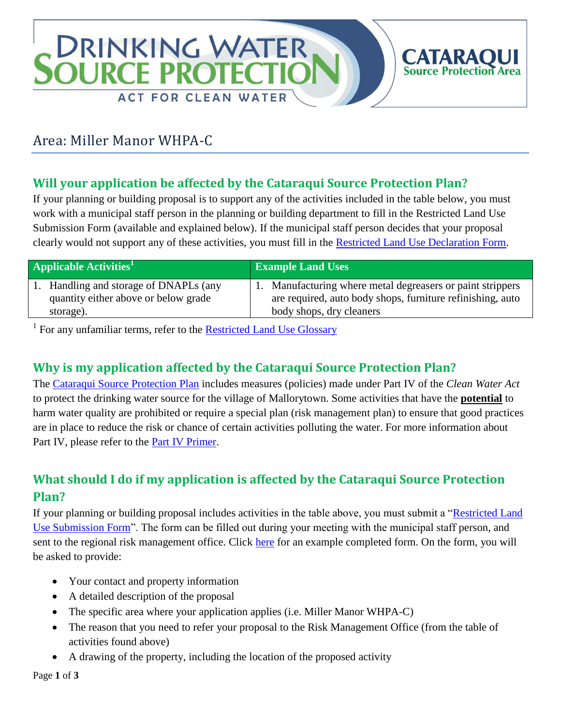# **DRINKING WATER OURCE PRO ACT FOR CLEAN WATER**

# Area: Miller Manor WHPA-C

## **Will your application be affected by the Cataraqui Source Protection Plan?**

If your planning or building proposal is to support any of the activities included in the table below, you must work with a municipal staff person in the planning or building department to fill in the Restricted Land Use Submission Form (available and explained below). If the municipal staff person decides that your proposal clearly would not support any of these activities, you must fill in the [Restricted Land Use Declaration Form.](http://www.cleanwatercataraqui.ca/publications/RestrictedLandUseDeclarationForm-Web.pdf)

| <b>Applicable Activities'</b>          | <b>Example Land Uses</b>                                   |
|----------------------------------------|------------------------------------------------------------|
| 1. Handling and storage of DNAPLs (any | 1. Manufacturing where metal degreasers or paint strippers |
| quantity either above or below grade   | are required, auto body shops, furniture refinishing, auto |
| storage).                              | body shops, dry cleaners                                   |

<sup>1</sup> For any unfamiliar terms, refer to the **Restricted Land Use Glossary** 

# **Why is my application affected by the Cataraqui Source Protection Plan?**

The [Cataraqui Source Protection Plan](http://cleanwatercataraqui.ca/studies-and-reports/cataraqui-source-protection-plan-explanatory-document/) includes measures (policies) made under Part IV of the *Clean Water Act* to protect the drinking water source for the village of Mallorytown. Some activities that have the **potential** to harm water quality are prohibited or require a special plan (risk management plan) to ensure that good practices are in place to reduce the risk or chance of certain activities polluting the water. For more information about Part IV, please refer to the [Part IV Primer.](http://www.cleanwatercataraqui.ca/publications/CataraquiRegionPartIVPrimer.pdf)

## **What should I do if my application is affected by the Cataraqui Source Protection Plan?**

If your planning or building proposal includes activities in the table above, you must submit a ["Restricted Land](http://www.cleanwatercataraqui.ca/publications/RestrictedLandUseSubmissionForm-Web.pdf)  [Use Submission Form"](http://www.cleanwatercataraqui.ca/publications/RestrictedLandUseSubmissionForm-Web.pdf). The form can be filled out during your meeting with the municipal staff person, and sent to the regional risk management office. Click [here](http://www.cleanwatercataraqui.ca/publications/RestrictedLandUseSubmissionForm-Ex-Web.pdf) for an example completed form. On the form, you will be asked to provide:

- Your contact and property information
- A detailed description of the proposal
- The specific area where your application applies (i.e. Miller Manor WHPA-C)
- The reason that you need to refer your proposal to the Risk Management Office (from the table of activities found above)
- A drawing of the property, including the location of the proposed activity

Page **1** of **3**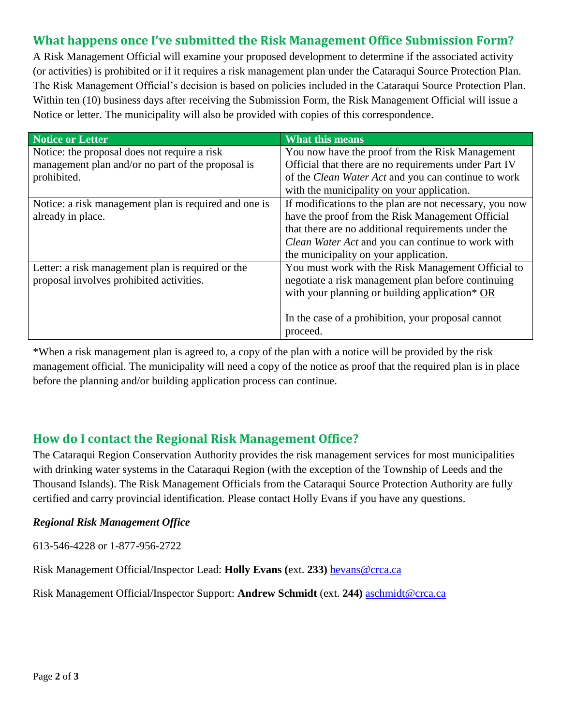#### **What happens once I've submitted the Risk Management Office Submission Form?**

A Risk Management Official will examine your proposed development to determine if the associated activity (or activities) is prohibited or if it requires a risk management plan under the Cataraqui Source Protection Plan. The Risk Management Official's decision is based on policies included in the Cataraqui Source Protection Plan. Within ten (10) business days after receiving the Submission Form, the Risk Management Official will issue a Notice or letter. The municipality will also be provided with copies of this correspondence.

| Notice or Letter                                      | <b>What this means</b>                                  |
|-------------------------------------------------------|---------------------------------------------------------|
| Notice: the proposal does not require a risk          | You now have the proof from the Risk Management         |
| management plan and/or no part of the proposal is     | Official that there are no requirements under Part IV   |
| prohibited.                                           | of the Clean Water Act and you can continue to work     |
|                                                       | with the municipality on your application.              |
| Notice: a risk management plan is required and one is | If modifications to the plan are not necessary, you now |
| already in place.                                     | have the proof from the Risk Management Official        |
|                                                       | that there are no additional requirements under the     |
|                                                       | Clean Water Act and you can continue to work with       |
|                                                       | the municipality on your application.                   |
| Letter: a risk management plan is required or the     | You must work with the Risk Management Official to      |
| proposal involves prohibited activities.              | negotiate a risk management plan before continuing      |
|                                                       | with your planning or building application* OR          |
|                                                       |                                                         |
|                                                       | In the case of a prohibition, your proposal cannot      |
|                                                       | proceed.                                                |

\*When a risk management plan is agreed to, a copy of the plan with a notice will be provided by the risk management official. The municipality will need a copy of the notice as proof that the required plan is in place before the planning and/or building application process can continue.

#### **How do I contact the Regional Risk Management Office?**

The Cataraqui Region Conservation Authority provides the risk management services for most municipalities with drinking water systems in the Cataraqui Region (with the exception of the Township of Leeds and the Thousand Islands). The Risk Management Officials from the Cataraqui Source Protection Authority are fully certified and carry provincial identification. Please contact Holly Evans if you have any questions.

#### *Regional Risk Management Office*

613-546-4228 or 1-877-956-2722

Risk Management Official/Inspector Lead: **Holly Evans (**ext. **233)** [hevans@crca.ca](mailto:hevans@crca.ca)

Risk Management Official/Inspector Support: **Andrew Schmidt** (ext. **244)** [aschmidt@crca.ca](mailto:aschmidt@crca.ca)